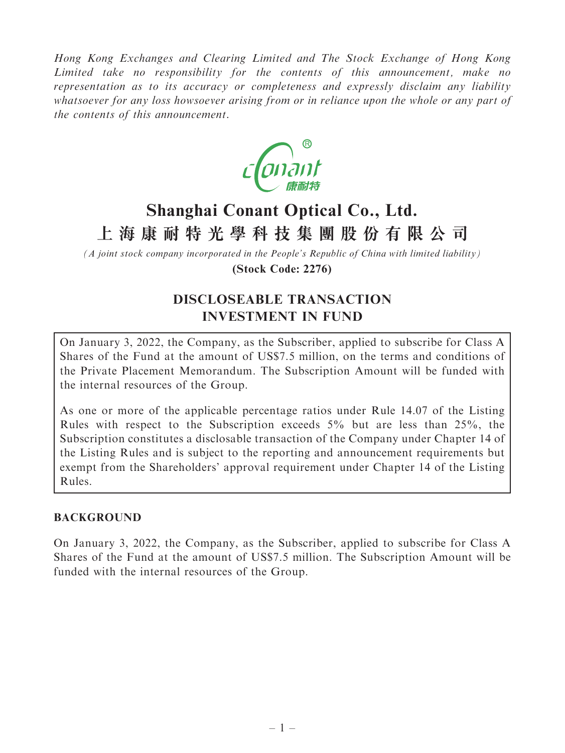Hong Kong Exchanges and Clearing Limited and The Stock Exchange of Hong Kong Limited take no responsibility for the contents of this announcement, make no representation as to its accuracy or completeness and expressly disclaim any liability whatsoever for any loss howsoever arising from or in reliance upon the whole or any part of the contents of this announcement.



# **Shanghai Conant Optical Co., Ltd. 上海康耐特光學科技集團股份有限公司**

*(A joint stock company incorporated in the People's Republic of China with limited liability)* **(Stock Code: 2276)**

# DISCLOSEABLE TRANSACTION INVESTMENT IN FUND

On January 3, 2022, the Company, as the Subscriber, applied to subscribe for Class A Shares of the Fund at the amount of US\$7.5 million, on the terms and conditions of the Private Placement Memorandum. The Subscription Amount will be funded with the internal resources of the Group.

As one or more of the applicable percentage ratios under Rule 14.07 of the Listing Rules with respect to the Subscription exceeds 5% but are less than 25%, the Subscription constitutes a disclosable transaction of the Company under Chapter 14 of the Listing Rules and is subject to the reporting and announcement requirements but exempt from the Shareholders' approval requirement under Chapter 14 of the Listing Rules.

#### BACKGROUND

On January 3, 2022, the Company, as the Subscriber, applied to subscribe for Class A Shares of the Fund at the amount of US\$7.5 million. The Subscription Amount will be funded with the internal resources of the Group.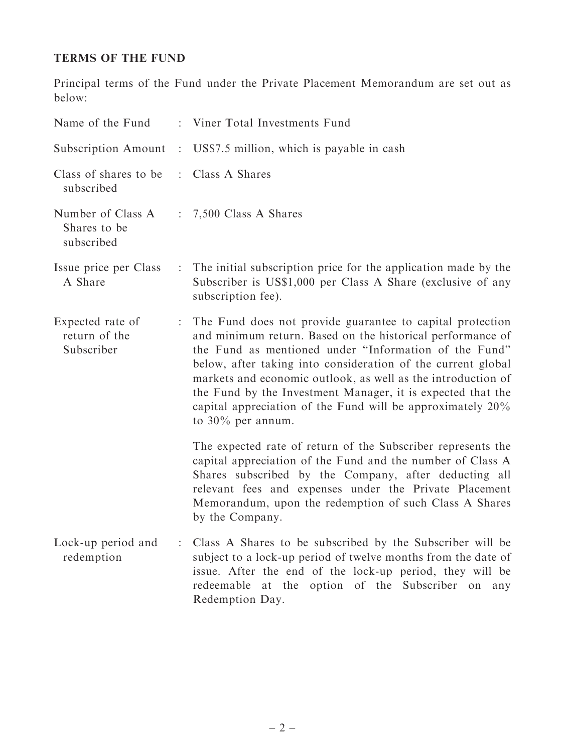## TERMS OF THE FUND

Principal terms of the Fund under the Private Placement Memorandum are set out as below:

| Name of the Fund                                |                           | : Viner Total Investments Fund                                                                                                                                                                                                                                                                                                                                                                                                                                        |
|-------------------------------------------------|---------------------------|-----------------------------------------------------------------------------------------------------------------------------------------------------------------------------------------------------------------------------------------------------------------------------------------------------------------------------------------------------------------------------------------------------------------------------------------------------------------------|
| Subscription Amount                             |                           | : US\$7.5 million, which is payable in cash                                                                                                                                                                                                                                                                                                                                                                                                                           |
| Class of shares to be<br>subscribed             | $\mathbb{R}^{\mathbb{Z}}$ | Class A Shares                                                                                                                                                                                                                                                                                                                                                                                                                                                        |
| Number of Class A<br>Shares to be<br>subscribed |                           | $\therefore$ 7,500 Class A Shares                                                                                                                                                                                                                                                                                                                                                                                                                                     |
| Issue price per Class<br>A Share                |                           | : The initial subscription price for the application made by the<br>Subscriber is US\$1,000 per Class A Share (exclusive of any<br>subscription fee).                                                                                                                                                                                                                                                                                                                 |
| Expected rate of<br>return of the<br>Subscriber | $\mathbb{Z}^{\times}$     | The Fund does not provide guarantee to capital protection<br>and minimum return. Based on the historical performance of<br>the Fund as mentioned under "Information of the Fund"<br>below, after taking into consideration of the current global<br>markets and economic outlook, as well as the introduction of<br>the Fund by the Investment Manager, it is expected that the<br>capital appreciation of the Fund will be approximately 20%<br>to $30\%$ per annum. |
|                                                 |                           | The expected rate of return of the Subscriber represents the<br>capital appreciation of the Fund and the number of Class A<br>Shares subscribed by the Company, after deducting all<br>relevant fees and expenses under the Private Placement<br>Memorandum, upon the redemption of such Class A Shares<br>by the Company.                                                                                                                                            |
| Lock-up period and<br>redemption                |                           | Class A Shares to be subscribed by the Subscriber will be<br>subject to a lock-up period of twelve months from the date of<br>issue. After the end of the lock-up period, they will be<br>redeemable at the option of the Subscriber on any<br>Redemption Day.                                                                                                                                                                                                        |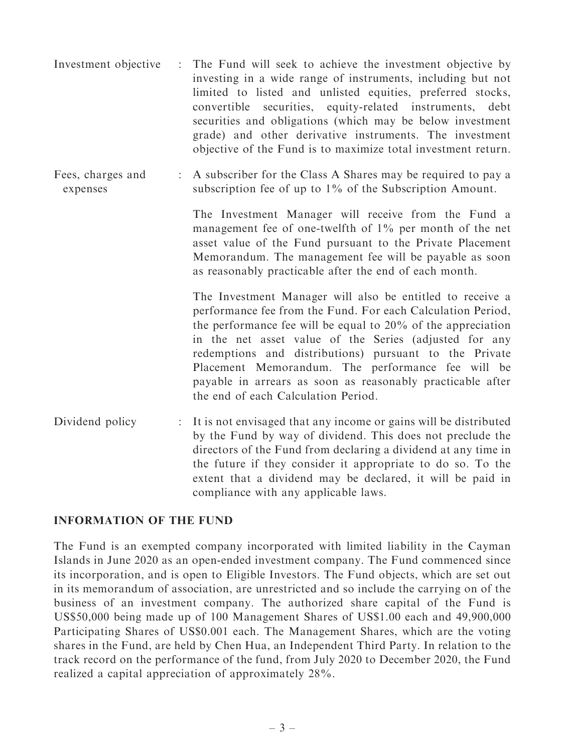- Investment objective : The Fund will seek to achieve the investment objective by investing in a wide range of instruments, including but not limited to listed and unlisted equities, preferred stocks, convertible securities, equity-related instruments, debt securities and obligations (which may be below investment grade) and other derivative instruments. The investment objective of the Fund is to maximize total investment return.
- Fees, charges and expenses : A subscriber for the Class A Shares may be required to pay a subscription fee of up to 1% of the Subscription Amount.

The Investment Manager will receive from the Fund a management fee of one-twelfth of 1% per month of the net asset value of the Fund pursuant to the Private Placement Memorandum. The management fee will be payable as soon as reasonably practicable after the end of each month.

The Investment Manager will also be entitled to receive a performance fee from the Fund. For each Calculation Period, the performance fee will be equal to 20% of the appreciation in the net asset value of the Series (adjusted for any redemptions and distributions) pursuant to the Private Placement Memorandum. The performance fee will be payable in arrears as soon as reasonably practicable after the end of each Calculation Period.

Dividend policy : It is not envisaged that any income or gains will be distributed by the Fund by way of dividend. This does not preclude the directors of the Fund from declaring a dividend at any time in the future if they consider it appropriate to do so. To the extent that a dividend may be declared, it will be paid in compliance with any applicable laws.

#### INFORMATION OF THE FUND

The Fund is an exempted company incorporated with limited liability in the Cayman Islands in June 2020 as an open-ended investment company. The Fund commenced since its incorporation, and is open to Eligible Investors. The Fund objects, which are set out in its memorandum of association, are unrestricted and so include the carrying on of the business of an investment company. The authorized share capital of the Fund is US\$50,000 being made up of 100 Management Shares of US\$1.00 each and 49,900,000 Participating Shares of US\$0.001 each. The Management Shares, which are the voting shares in the Fund, are held by Chen Hua, an Independent Third Party. In relation to the track record on the performance of the fund, from July 2020 to December 2020, the Fund realized a capital appreciation of approximately 28%.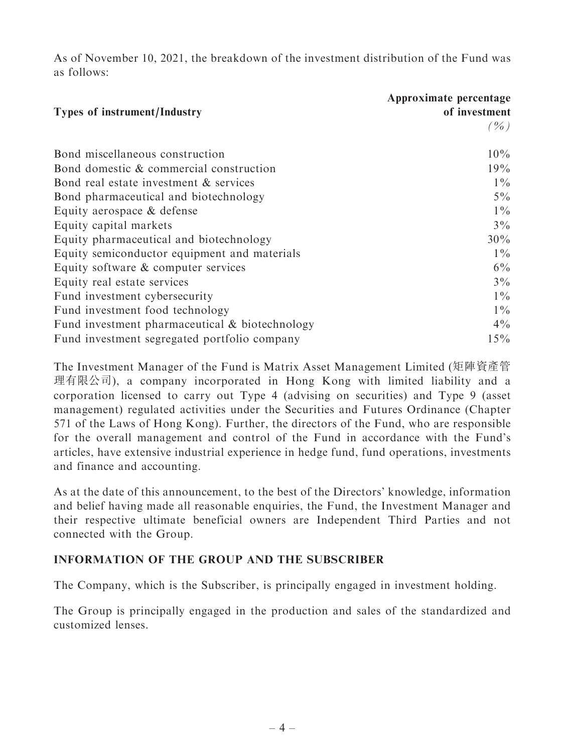As of November 10, 2021, the breakdown of the investment distribution of the Fund was as follows:

|                                                | Approximate percentage |
|------------------------------------------------|------------------------|
| <b>Types of instrument/Industry</b>            | of investment          |
|                                                | $($ %)                 |
| Bond miscellaneous construction                | $10\%$                 |
| Bond domestic & commercial construction        | 19%                    |
| Bond real estate investment & services         | $1\%$                  |
| Bond pharmaceutical and biotechnology          | $5\%$                  |
| Equity aerospace & defense                     | $1\%$                  |
| Equity capital markets                         | $3\%$                  |
| Equity pharmaceutical and biotechnology        | $30\%$                 |
| Equity semiconductor equipment and materials   | $1\%$                  |
| Equity software & computer services            | $6\%$                  |
| Equity real estate services                    | $3\%$                  |
| Fund investment cybersecurity                  | $1\%$                  |
| Fund investment food technology                | $1\%$                  |
| Fund investment pharmaceutical & biotechnology | $4\%$                  |
| Fund investment segregated portfolio company   | $15\%$                 |

The Investment Manager of the Fund is Matrix Asset Management Limited (矩陣資產管 理有限公司), a company incorporated in Hong Kong with limited liability and a corporation licensed to carry out Type 4 (advising on securities) and Type 9 (asset management) regulated activities under the Securities and Futures Ordinance (Chapter 571 of the Laws of Hong Kong). Further, the directors of the Fund, who are responsible for the overall management and control of the Fund in accordance with the Fund's articles, have extensive industrial experience in hedge fund, fund operations, investments and finance and accounting.

As at the date of this announcement, to the best of the Directors' knowledge, information and belief having made all reasonable enquiries, the Fund, the Investment Manager and their respective ultimate beneficial owners are Independent Third Parties and not connected with the Group.

#### INFORMATION OF THE GROUP AND THE SUBSCRIBER

The Company, which is the Subscriber, is principally engaged in investment holding.

The Group is principally engaged in the production and sales of the standardized and customized lenses.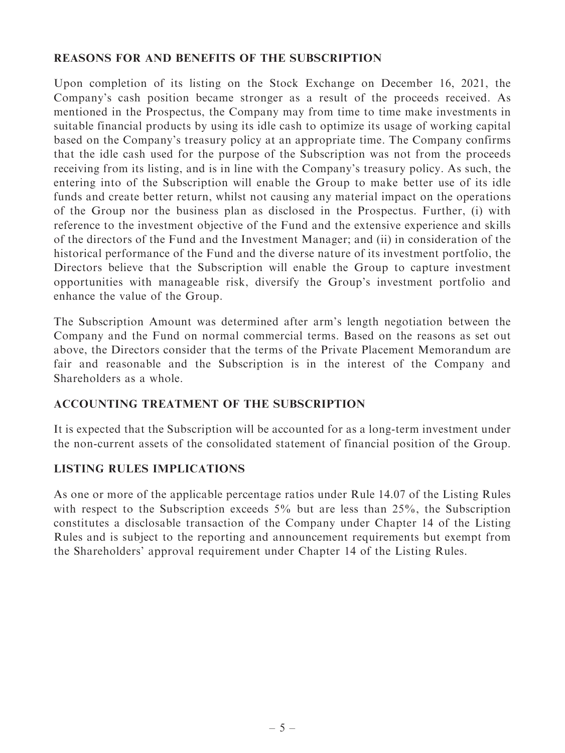#### REASONS FOR AND BENEFITS OF THE SUBSCRIPTION

Upon completion of its listing on the Stock Exchange on December 16, 2021, the Company's cash position became stronger as a result of the proceeds received. As mentioned in the Prospectus, the Company may from time to time make investments in suitable financial products by using its idle cash to optimize its usage of working capital based on the Company's treasury policy at an appropriate time. The Company confirms that the idle cash used for the purpose of the Subscription was not from the proceeds receiving from its listing, and is in line with the Company's treasury policy. As such, the entering into of the Subscription will enable the Group to make better use of its idle funds and create better return, whilst not causing any material impact on the operations of the Group nor the business plan as disclosed in the Prospectus. Further, (i) with reference to the investment objective of the Fund and the extensive experience and skills of the directors of the Fund and the Investment Manager; and (ii) in consideration of the historical performance of the Fund and the diverse nature of its investment portfolio, the Directors believe that the Subscription will enable the Group to capture investment opportunities with manageable risk, diversify the Group's investment portfolio and enhance the value of the Group.

The Subscription Amount was determined after arm's length negotiation between the Company and the Fund on normal commercial terms. Based on the reasons as set out above, the Directors consider that the terms of the Private Placement Memorandum are fair and reasonable and the Subscription is in the interest of the Company and Shareholders as a whole.

#### ACCOUNTING TREATMENT OF THE SUBSCRIPTION

It is expected that the Subscription will be accounted for as a long-term investment under the non-current assets of the consolidated statement of financial position of the Group.

#### LISTING RULES IMPLICATIONS

As one or more of the applicable percentage ratios under Rule 14.07 of the Listing Rules with respect to the Subscription exceeds 5% but are less than 25%, the Subscription constitutes a disclosable transaction of the Company under Chapter 14 of the Listing Rules and is subject to the reporting and announcement requirements but exempt from the Shareholders' approval requirement under Chapter 14 of the Listing Rules.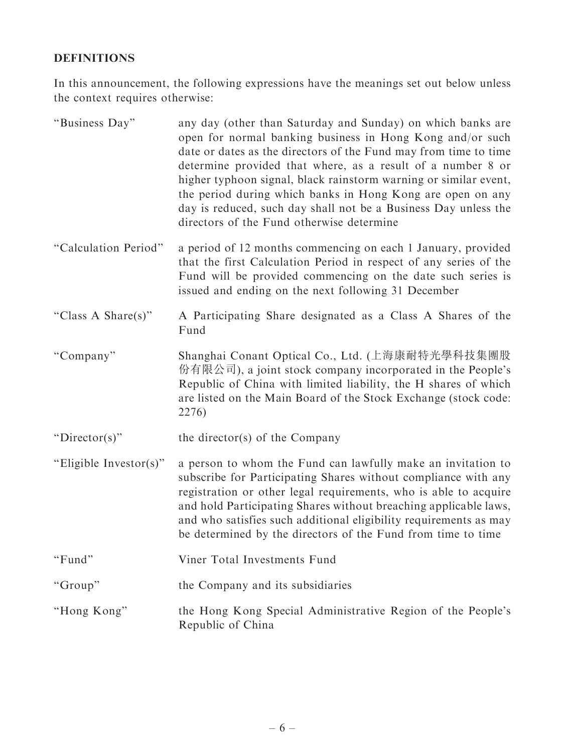## DEFINITIONS

In this announcement, the following expressions have the meanings set out below unless the context requires otherwise:

| "Business Day"         | any day (other than Saturday and Sunday) on which banks are<br>open for normal banking business in Hong Kong and/or such<br>date or dates as the directors of the Fund may from time to time<br>determine provided that where, as a result of a number 8 or<br>higher typhoon signal, black rainstorm warning or similar event,<br>the period during which banks in Hong Kong are open on any<br>day is reduced, such day shall not be a Business Day unless the<br>directors of the Fund otherwise determine |
|------------------------|---------------------------------------------------------------------------------------------------------------------------------------------------------------------------------------------------------------------------------------------------------------------------------------------------------------------------------------------------------------------------------------------------------------------------------------------------------------------------------------------------------------|
| "Calculation Period"   | a period of 12 months commencing on each 1 January, provided<br>that the first Calculation Period in respect of any series of the<br>Fund will be provided commencing on the date such series is<br>issued and ending on the next following 31 December                                                                                                                                                                                                                                                       |
| "Class A Share(s)"     | A Participating Share designated as a Class A Shares of the<br>Fund                                                                                                                                                                                                                                                                                                                                                                                                                                           |
| "Company"              | Shanghai Conant Optical Co., Ltd. (上海康耐特光學科技集團股<br>份有限公司), a joint stock company incorporated in the People's<br>Republic of China with limited liability, the H shares of which<br>are listed on the Main Board of the Stock Exchange (stock code:<br>2276)                                                                                                                                                                                                                                                  |
| " $Director(s)$ "      | the director(s) of the Company                                                                                                                                                                                                                                                                                                                                                                                                                                                                                |
| "Eligible Investor(s)" | a person to whom the Fund can lawfully make an invitation to<br>subscribe for Participating Shares without compliance with any<br>registration or other legal requirements, who is able to acquire<br>and hold Participating Shares without breaching applicable laws,<br>and who satisfies such additional eligibility requirements as may<br>be determined by the directors of the Fund from time to time                                                                                                   |
| "Fund"                 | Viner Total Investments Fund                                                                                                                                                                                                                                                                                                                                                                                                                                                                                  |
| "Group"                | the Company and its subsidiaries                                                                                                                                                                                                                                                                                                                                                                                                                                                                              |
| "Hong Kong"            | the Hong Kong Special Administrative Region of the People's<br>Republic of China                                                                                                                                                                                                                                                                                                                                                                                                                              |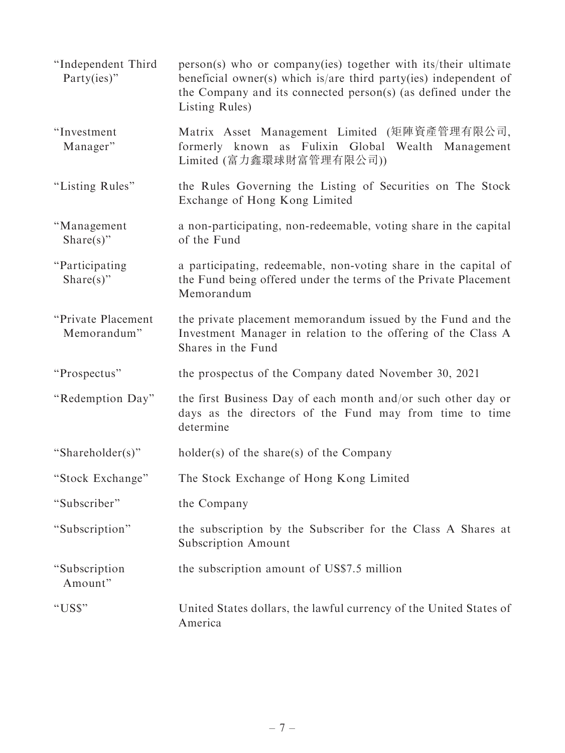''Independent Third Party(ies)'' person(s) who or company(ies) together with its/their ultimate beneficial owner(s) which is/are third party(ies) independent of the Company and its connected person(s) (as defined under the Listing Rules) ''Investment Manager'' Matrix Asset Management Limited (矩陣資產管理有限公司, formerly known as Fulixin Global Wealth Management Limited (富力鑫環球財富管理有限公司)) "Listing Rules" the Rules Governing the Listing of Securities on The Stock Exchange of Hong Kong Limited ''Management Share(s)'' a non-participating, non-redeemable, voting share in the capital of the Fund ''Participating Share(s)'' a participating, redeemable, non-voting share in the capital of the Fund being offered under the terms of the Private Placement Memorandum ''Private Placement Memorandum'' the private placement memorandum issued by the Fund and the Investment Manager in relation to the offering of the Class A Shares in the Fund ''Prospectus'' the prospectus of the Company dated November 30, 2021 "Redemption Day" the first Business Day of each month and/or such other day or days as the directors of the Fund may from time to time determine ''Shareholder(s)'' holder(s) of the share(s) of the Company ''Stock Exchange'' The Stock Exchange of Hong Kong Limited ''Subscriber'' the Company ''Subscription'' the subscription by the Subscriber for the Class A Shares at Subscription Amount ''Subscription Amount'' the subscription amount of US\$7.5 million ''US\$'' United States dollars, the lawful currency of the United States of America